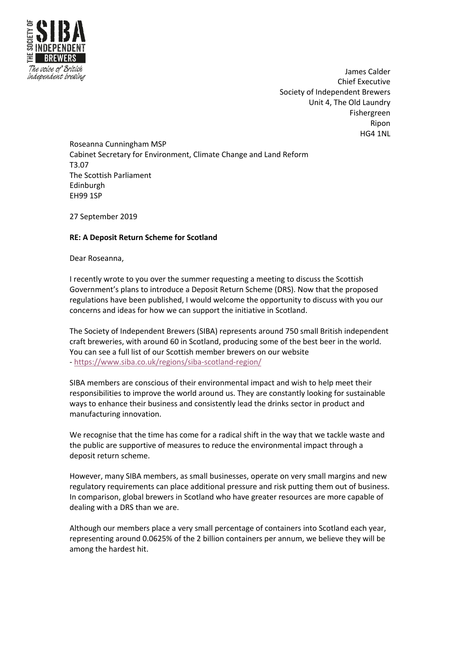

James Calder Chief Executive Society of Independent Brewers Unit 4, The Old Laundry Fishergreen Ripon HG4 1NL

Roseanna Cunningham MSP Cabinet Secretary for Environment, Climate Change and Land Reform T3.07 The Scottish Parliament Edinburgh EH99 1SP

27 September 2019

## **RE: A Deposit Return Scheme for Scotland**

Dear Roseanna,

I recently wrote to you over the summer requesting a meeting to discuss the Scottish Government's plans to introduce a Deposit Return Scheme (DRS). Now that the proposed regulations have been published, I would welcome the opportunity to discuss with you our concerns and ideas for how we can support the initiative in Scotland.

The Society of Independent Brewers (SIBA) represents around 750 small British independent craft breweries, with around 60 in Scotland, producing some of the best beer in the world. You can see a full list of our Scottish member brewers on our website - https://www.siba.co.uk/regions/siba-scotland-region/

SIBA members are conscious of their environmental impact and wish to help meet their responsibilities to improve the world around us. They are constantly looking for sustainable ways to enhance their business and consistently lead the drinks sector in product and manufacturing innovation.

We recognise that the time has come for a radical shift in the way that we tackle waste and the public are supportive of measures to reduce the environmental impact through a deposit return scheme.

However, many SIBA members, as small businesses, operate on very small margins and new regulatory requirements can place additional pressure and risk putting them out of business. In comparison, global brewers in Scotland who have greater resources are more capable of dealing with a DRS than we are.

Although our members place a very small percentage of containers into Scotland each year, representing around 0.0625% of the 2 billion containers per annum, we believe they will be among the hardest hit.